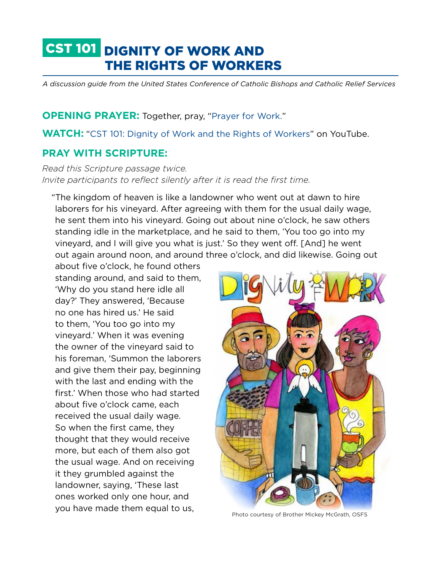# CST 101 DIGNITY OF WORK AND THE RIGHTS OF WORKERS

*A discussion guide from the United States Conference of Catholic Bishops and Catholic Relief Services*

**OPENING PRAYER:** Together, pray, "[Prayer for Work.](http://www.usccb.org/prayer-and-worship/prayers-and-devotions/prayers/prayer-for-work.cfm)"

**WATCH:** "[CST 101: Dignity of Work and the Rights of Workers"](https://www.crs.org/resource-center/cst-101-video-dignity-work-and-rights-workers) on YouTube.

## **PRAY WITH SCRIPTURE:**

*Read this Scripture passage twice. Invite participants to reflect silently after it is read the first time.* 

"The kingdom of heaven is like a landowner who went out at dawn to hire laborers for his vineyard. After agreeing with them for the usual daily wage, he sent them into his vineyard. Going out about nine o'clock, he saw others standing idle in the marketplace, and he said to them, 'You too go into my vineyard, and I will give you what is just.' So they went off. [And] he went out again around noon, and around three o'clock, and did likewise. Going out

about five o'clock, he found others standing around, and said to them, 'Why do you stand here idle all day?' They answered, 'Because no one has hired us.' He said to them, 'You too go into my vineyard.' When it was evening the owner of the vineyard said to his foreman, 'Summon the laborers and give them their pay, beginning with the last and ending with the first.' When those who had started about five o'clock came, each received the usual daily wage. So when the first came, they thought that they would receive more, but each of them also got the usual wage. And on receiving it they grumbled against the landowner, saying, 'These last ones worked only one hour, and you have made them equal to us,



Photo courtesy of Brother Mickey McGrath, OSFS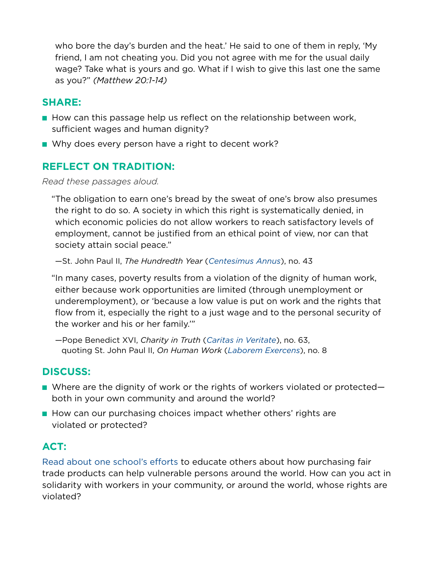who bore the day's burden and the heat.' He said to one of them in reply, 'My friend, I am not cheating you. Did you not agree with me for the usual daily wage? Take what is yours and go. What if I wish to give this last one the same as you?" *(Matthew 20:1-14)*

## **SHARE:**

- How can this passage help us reflect on the relationship between work, sufficient wages and human dignity?
- Why does every person have a right to decent work?

## **REFLECT ON TRADITION:**

#### *Read these passages aloud.*

"The obligation to earn one's bread by the sweat of one's brow also presumes the right to do so. A society in which this right is systematically denied, in which economic policies do not allow workers to reach satisfactory levels of employment, cannot be justified from an ethical point of view, nor can that society attain social peace."

—St. John Paul II, *The Hundredth Year* (*[Centesimus Annus](http://w2.vatican.va/content/john-paul-ii/en/encyclicals/documents/hf_jp-ii_enc_01051991_centesimus-annus.html)*), no. 43

"In many cases, poverty results from a violation of the dignity of human work, either because work opportunities are limited (through unemployment or underemployment), or 'because a low value is put on work and the rights that flow from it, especially the right to a just wage and to the personal security of the worker and his or her family.'"

—Pope Benedict XVI, *Charity in Truth* (*[Caritas in Veritate](http://w2.vatican.va/content/benedict-xvi/en/encyclicals/documents/hf_ben-xvi_enc_20090629_caritas-in-veritate.html)*), no. 63, quoting St. John Paul II, *On Human Work* (*[Laborem Exercens](http://w2.vatican.va/content/john-paul-ii/en/encyclicals/documents/hf_jp-ii_enc_14091981_laborem-exercens.html)*), no. 8

# **DISCUSS:**

- Where are the dignity of work or the rights of workers violated or protected both in your own community and around the world?
- How can our purchasing choices impact whether others' rights are violated or protected?

# **ACT:**

[Read about one school's efforts](https://www.wearesaltandlight.org/find-resources/school-engages-community-fair-trade/) to educate others about how purchasing fair trade products can help vulnerable persons around the world. How can you act in solidarity with workers in your community, or around the world, whose rights are violated?